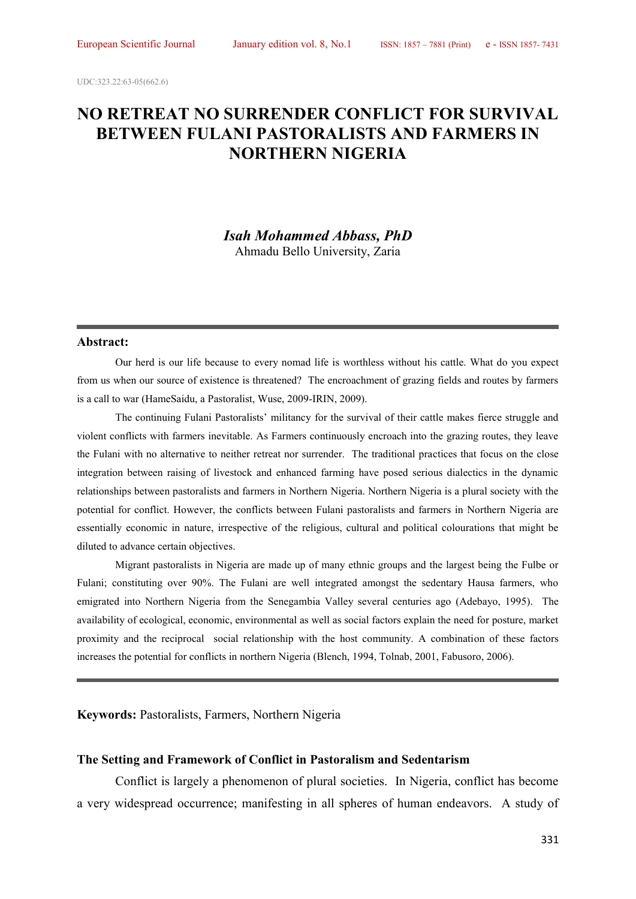UDC:323.22:63-05(662.6)

# **NO RETREAT NO SURRENDER CONFLICT FOR SURVIVAL BETWEEN FULANI PASTORALISTS AND FARMERS IN NORTHERN NIGERIA**

*Isah Mohammed Abbass, PhD* Ahmadu Bello University, Zaria

#### **Abstract:**

Our herd is our life because to every nomad life is worthless without his cattle. What do you expect from us when our source of existence is threatened? The encroachment of grazing fields and routes by farmers is a call to war (HameSaidu, a Pastoralist, Wuse, 2009-IRIN, 2009).

The continuing Fulani Pastoralists' militancy for the survival of their cattle makes fierce struggle and violent conflicts with farmers inevitable. As Farmers continuously encroach into the grazing routes, they leave the Fulani with no alternative to neither retreat nor surrender. The traditional practices that focus on the close integration between raising of livestock and enhanced farming have posed serious dialectics in the dynamic relationships between pastoralists and farmers in Northern Nigeria. Northern Nigeria is a plural society with the potential for conflict. However, the conflicts between Fulani pastoralists and farmers in Northern Nigeria are essentially economic in nature, irrespective of the religious, cultural and political colourations that might be diluted to advance certain objectives.

Migrant pastoralists in Nigeria are made up of many ethnic groups and the largest being the Fulbe or Fulani; constituting over 90%. The Fulani are well integrated amongst the sedentary Hausa farmers, who emigrated into Northern Nigeria from the Senegambia Valley several centuries ago (Adebayo, 1995). The availability of ecological, economic, environmental as well as social factors explain the need for posture, market proximity and the reciprocal social relationship with the host community. A combination of these factors increases the potential for conflicts in northern Nigeria (Blench, 1994, Tolnab, 2001, Fabusoro, 2006).

**Keywords:** Pastoralists, Farmers, Northern Nigeria

#### **The Setting and Framework of Conflict in Pastoralism and Sedentarism**

Conflict is largely a phenomenon of plural societies. In Nigeria, conflict has become a very widespread occurrence; manifesting in all spheres of human endeavors. A study of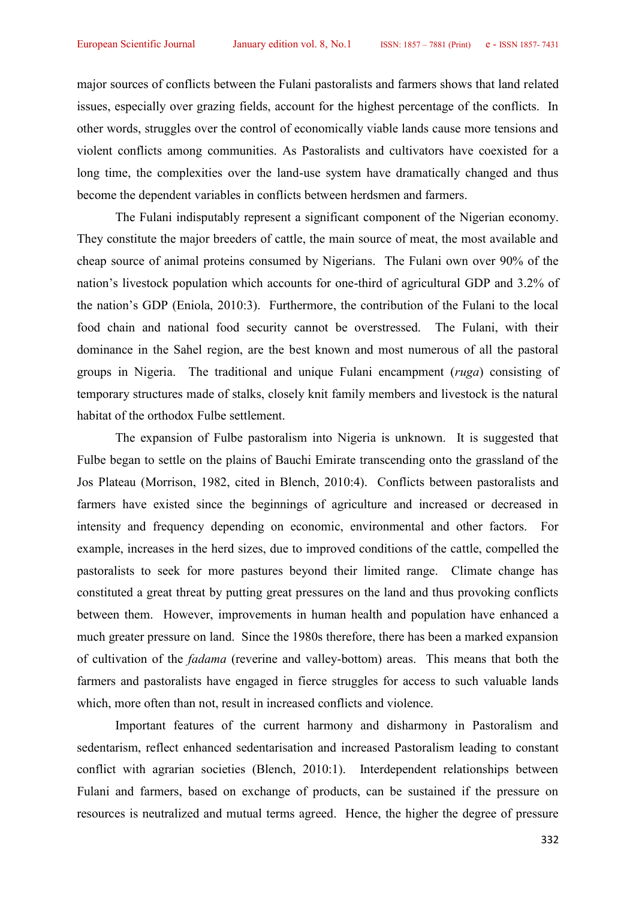major sources of conflicts between the Fulani pastoralists and farmers shows that land related issues, especially over grazing fields, account for the highest percentage of the conflicts. In other words, struggles over the control of economically viable lands cause more tensions and violent conflicts among communities. As Pastoralists and cultivators have coexisted for a long time, the complexities over the land-use system have dramatically changed and thus become the dependent variables in conflicts between herdsmen and farmers.

The Fulani indisputably represent a significant component of the Nigerian economy. They constitute the major breeders of cattle, the main source of meat, the most available and cheap source of animal proteins consumed by Nigerians. The Fulani own over 90% of the nation's livestock population which accounts for one-third of agricultural GDP and 3.2% of the nation's GDP (Eniola, 2010:3). Furthermore, the contribution of the Fulani to the local food chain and national food security cannot be overstressed. The Fulani, with their dominance in the Sahel region, are the best known and most numerous of all the pastoral groups in Nigeria. The traditional and unique Fulani encampment (*ruga*) consisting of temporary structures made of stalks, closely knit family members and livestock is the natural habitat of the orthodox Fulbe settlement.

The expansion of Fulbe pastoralism into Nigeria is unknown. It is suggested that Fulbe began to settle on the plains of Bauchi Emirate transcending onto the grassland of the Jos Plateau (Morrison, 1982, cited in Blench, 2010:4). Conflicts between pastoralists and farmers have existed since the beginnings of agriculture and increased or decreased in intensity and frequency depending on economic, environmental and other factors. For example, increases in the herd sizes, due to improved conditions of the cattle, compelled the pastoralists to seek for more pastures beyond their limited range. Climate change has constituted a great threat by putting great pressures on the land and thus provoking conflicts between them. However, improvements in human health and population have enhanced a much greater pressure on land. Since the 1980s therefore, there has been a marked expansion of cultivation of the *fadama* (reverine and valley-bottom) areas. This means that both the farmers and pastoralists have engaged in fierce struggles for access to such valuable lands which, more often than not, result in increased conflicts and violence.

Important features of the current harmony and disharmony in Pastoralism and sedentarism, reflect enhanced sedentarisation and increased Pastoralism leading to constant conflict with agrarian societies (Blench, 2010:1). Interdependent relationships between Fulani and farmers, based on exchange of products, can be sustained if the pressure on resources is neutralized and mutual terms agreed. Hence, the higher the degree of pressure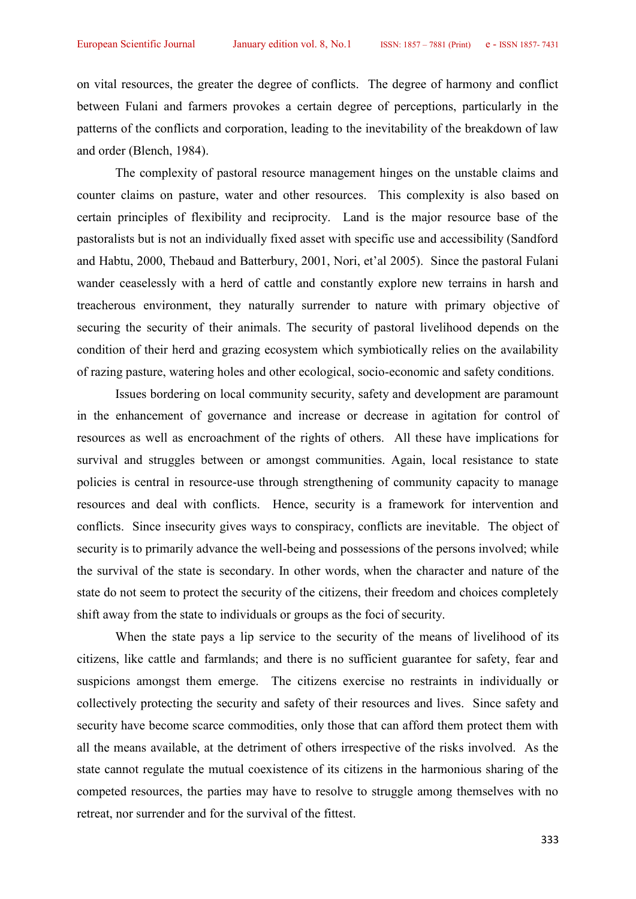on vital resources, the greater the degree of conflicts. The degree of harmony and conflict between Fulani and farmers provokes a certain degree of perceptions, particularly in the patterns of the conflicts and corporation, leading to the inevitability of the breakdown of law and order (Blench, 1984).

The complexity of pastoral resource management hinges on the unstable claims and counter claims on pasture, water and other resources. This complexity is also based on certain principles of flexibility and reciprocity. Land is the major resource base of the pastoralists but is not an individually fixed asset with specific use and accessibility (Sandford and Habtu, 2000, Thebaud and Batterbury, 2001, Nori, et'al 2005). Since the pastoral Fulani wander ceaselessly with a herd of cattle and constantly explore new terrains in harsh and treacherous environment, they naturally surrender to nature with primary objective of securing the security of their animals. The security of pastoral livelihood depends on the condition of their herd and grazing ecosystem which symbiotically relies on the availability of razing pasture, watering holes and other ecological, socio-economic and safety conditions.

Issues bordering on local community security, safety and development are paramount in the enhancement of governance and increase or decrease in agitation for control of resources as well as encroachment of the rights of others. All these have implications for survival and struggles between or amongst communities. Again, local resistance to state policies is central in resource-use through strengthening of community capacity to manage resources and deal with conflicts. Hence, security is a framework for intervention and conflicts. Since insecurity gives ways to conspiracy, conflicts are inevitable. The object of security is to primarily advance the well-being and possessions of the persons involved; while the survival of the state is secondary. In other words, when the character and nature of the state do not seem to protect the security of the citizens, their freedom and choices completely shift away from the state to individuals or groups as the foci of security.

When the state pays a lip service to the security of the means of livelihood of its citizens, like cattle and farmlands; and there is no sufficient guarantee for safety, fear and suspicions amongst them emerge. The citizens exercise no restraints in individually or collectively protecting the security and safety of their resources and lives. Since safety and security have become scarce commodities, only those that can afford them protect them with all the means available, at the detriment of others irrespective of the risks involved. As the state cannot regulate the mutual coexistence of its citizens in the harmonious sharing of the competed resources, the parties may have to resolve to struggle among themselves with no retreat, nor surrender and for the survival of the fittest.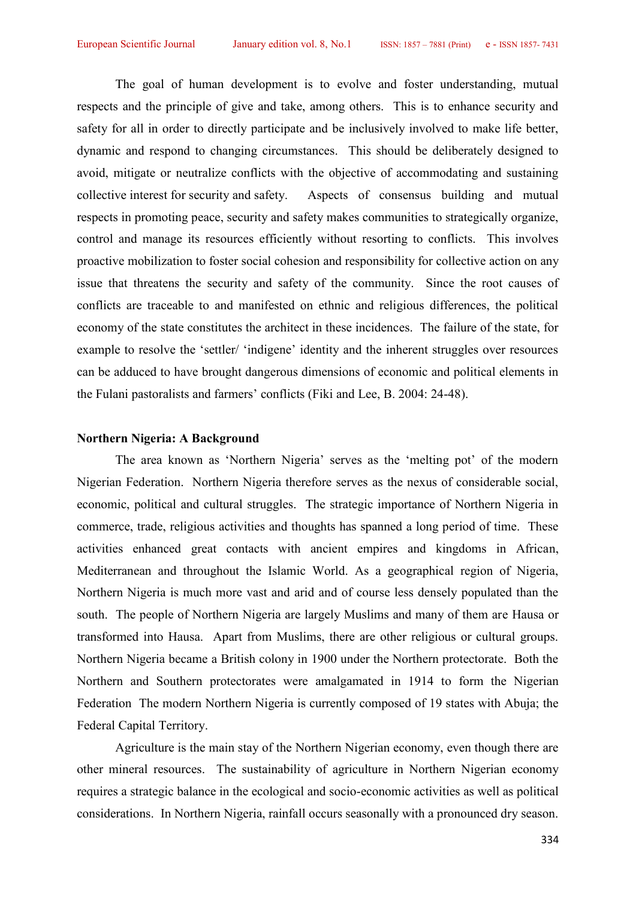The goal of human development is to evolve and foster understanding, mutual respects and the principle of give and take, among others. This is to enhance security and safety for all in order to directly participate and be inclusively involved to make life better, dynamic and respond to changing circumstances. This should be deliberately designed to avoid, mitigate or neutralize conflicts with the objective of accommodating and sustaining collective interest for security and safety. Aspects of consensus building and mutual respects in promoting peace, security and safety makes communities to strategically organize, control and manage its resources efficiently without resorting to conflicts. This involves proactive mobilization to foster social cohesion and responsibility for collective action on any issue that threatens the security and safety of the community. Since the root causes of conflicts are traceable to and manifested on ethnic and religious differences, the political economy of the state constitutes the architect in these incidences. The failure of the state, for example to resolve the 'settler/ 'indigene' identity and the inherent struggles over resources can be adduced to have brought dangerous dimensions of economic and political elements in the Fulani pastoralists and farmers' conflicts (Fiki and Lee, B. 2004: 24-48).

### **Northern Nigeria: A Background**

The area known as 'Northern Nigeria' serves as the 'melting pot' of the modern Nigerian Federation. Northern Nigeria therefore serves as the nexus of considerable social, economic, political and cultural struggles. The strategic importance of Northern Nigeria in commerce, trade, religious activities and thoughts has spanned a long period of time. These activities enhanced great contacts with ancient empires and kingdoms in African, Mediterranean and throughout the Islamic World. As a geographical region of Nigeria, Northern Nigeria is much more vast and arid and of course less densely populated than the south. The people of Northern Nigeria are largely Muslims and many of them are Hausa or transformed into Hausa. Apart from Muslims, there are other religious or cultural groups. Northern Nigeria became a British colony in 1900 under the Northern protectorate. Both the Northern and Southern protectorates were amalgamated in 1914 to form the Nigerian Federation The modern Northern Nigeria is currently composed of 19 states with Abuja; the Federal Capital Territory.

Agriculture is the main stay of the Northern Nigerian economy, even though there are other mineral resources. The sustainability of agriculture in Northern Nigerian economy requires a strategic balance in the ecological and socio-economic activities as well as political considerations. In Northern Nigeria, rainfall occurs seasonally with a pronounced dry season.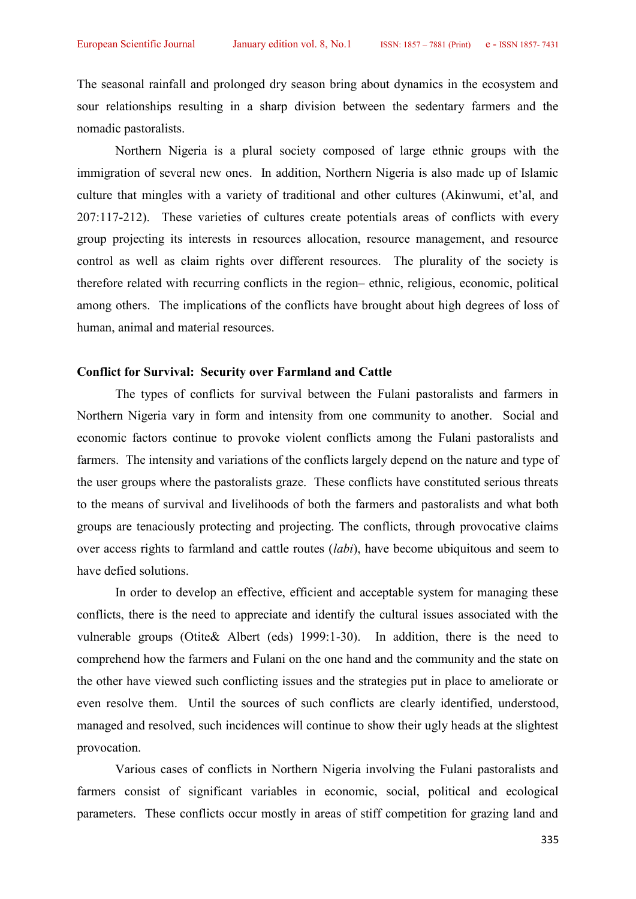The seasonal rainfall and prolonged dry season bring about dynamics in the ecosystem and sour relationships resulting in a sharp division between the sedentary farmers and the nomadic pastoralists.

Northern Nigeria is a plural society composed of large ethnic groups with the immigration of several new ones. In addition, Northern Nigeria is also made up of Islamic culture that mingles with a variety of traditional and other cultures (Akinwumi, et'al, and 207:117-212). These varieties of cultures create potentials areas of conflicts with every group projecting its interests in resources allocation, resource management, and resource control as well as claim rights over different resources. The plurality of the society is therefore related with recurring conflicts in the region– ethnic, religious, economic, political among others. The implications of the conflicts have brought about high degrees of loss of human, animal and material resources.

#### **Conflict for Survival: Security over Farmland and Cattle**

The types of conflicts for survival between the Fulani pastoralists and farmers in Northern Nigeria vary in form and intensity from one community to another. Social and economic factors continue to provoke violent conflicts among the Fulani pastoralists and farmers. The intensity and variations of the conflicts largely depend on the nature and type of the user groups where the pastoralists graze. These conflicts have constituted serious threats to the means of survival and livelihoods of both the farmers and pastoralists and what both groups are tenaciously protecting and projecting. The conflicts, through provocative claims over access rights to farmland and cattle routes (*labi*), have become ubiquitous and seem to have defied solutions.

In order to develop an effective, efficient and acceptable system for managing these conflicts, there is the need to appreciate and identify the cultural issues associated with the vulnerable groups (Otite& Albert (eds) 1999:1-30). In addition, there is the need to comprehend how the farmers and Fulani on the one hand and the community and the state on the other have viewed such conflicting issues and the strategies put in place to ameliorate or even resolve them. Until the sources of such conflicts are clearly identified, understood, managed and resolved, such incidences will continue to show their ugly heads at the slightest provocation.

Various cases of conflicts in Northern Nigeria involving the Fulani pastoralists and farmers consist of significant variables in economic, social, political and ecological parameters. These conflicts occur mostly in areas of stiff competition for grazing land and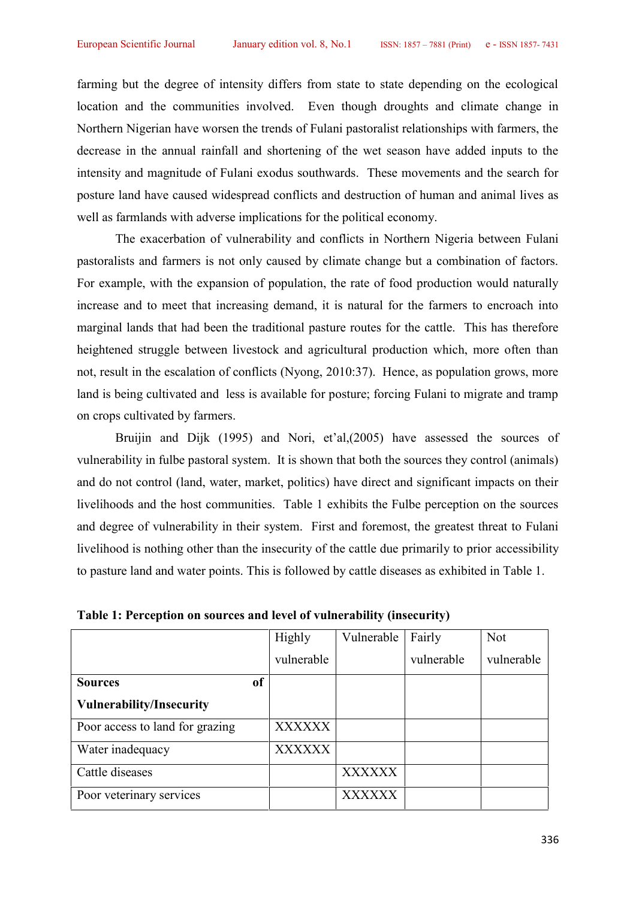farming but the degree of intensity differs from state to state depending on the ecological location and the communities involved. Even though droughts and climate change in Northern Nigerian have worsen the trends of Fulani pastoralist relationships with farmers, the decrease in the annual rainfall and shortening of the wet season have added inputs to the intensity and magnitude of Fulani exodus southwards. These movements and the search for posture land have caused widespread conflicts and destruction of human and animal lives as well as farmlands with adverse implications for the political economy.

The exacerbation of vulnerability and conflicts in Northern Nigeria between Fulani pastoralists and farmers is not only caused by climate change but a combination of factors. For example, with the expansion of population, the rate of food production would naturally increase and to meet that increasing demand, it is natural for the farmers to encroach into marginal lands that had been the traditional pasture routes for the cattle. This has therefore heightened struggle between livestock and agricultural production which, more often than not, result in the escalation of conflicts (Nyong, 2010:37). Hence, as population grows, more land is being cultivated and less is available for posture; forcing Fulani to migrate and tramp on crops cultivated by farmers.

Bruijin and Dijk (1995) and Nori, et'al,(2005) have assessed the sources of vulnerability in fulbe pastoral system. It is shown that both the sources they control (animals) and do not control (land, water, market, politics) have direct and significant impacts on their livelihoods and the host communities. Table 1 exhibits the Fulbe perception on the sources and degree of vulnerability in their system. First and foremost, the greatest threat to Fulani livelihood is nothing other than the insecurity of the cattle due primarily to prior accessibility to pasture land and water points. This is followed by cattle diseases as exhibited in Table 1.

|                                 | Highly        | Vulnerable    | Fairly     | <b>Not</b> |
|---------------------------------|---------------|---------------|------------|------------|
|                                 | vulnerable    |               | vulnerable | vulnerable |
| of<br><b>Sources</b>            |               |               |            |            |
| <b>Vulnerability/Insecurity</b> |               |               |            |            |
| Poor access to land for grazing | <b>XXXXXX</b> |               |            |            |
| Water inadequacy                | XXXXXX        |               |            |            |
| Cattle diseases                 |               | <b>XXXXXX</b> |            |            |
| Poor veterinary services        |               | XXXXXX        |            |            |

**Table 1: Perception on sources and level of vulnerability (insecurity)**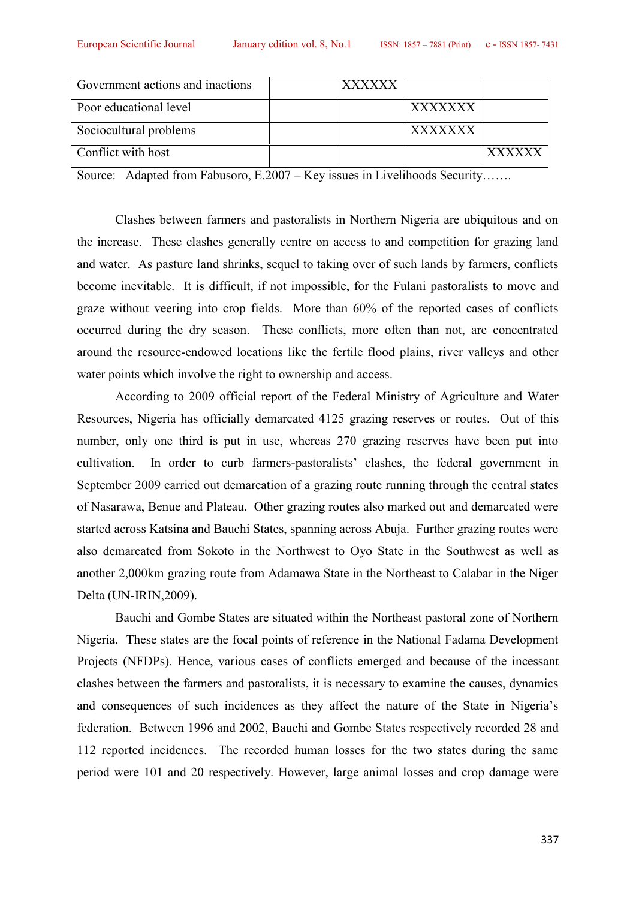| Government actions and inactions | XXXXXX |                |               |
|----------------------------------|--------|----------------|---------------|
| Poor educational level           |        | XXXXXXX        |               |
| Sociocultural problems           |        | <b>XXXXXXX</b> |               |
| Conflict with host               |        |                | <b>YYYYYY</b> |

Source: Adapted from Fabusoro, E.2007 – Key issues in Livelihoods Security…….

Clashes between farmers and pastoralists in Northern Nigeria are ubiquitous and on the increase. These clashes generally centre on access to and competition for grazing land and water. As pasture land shrinks, sequel to taking over of such lands by farmers, conflicts become inevitable. It is difficult, if not impossible, for the Fulani pastoralists to move and graze without veering into crop fields. More than 60% of the reported cases of conflicts occurred during the dry season. These conflicts, more often than not, are concentrated around the resource-endowed locations like the fertile flood plains, river valleys and other water points which involve the right to ownership and access.

According to 2009 official report of the Federal Ministry of Agriculture and Water Resources, Nigeria has officially demarcated 4125 grazing reserves or routes. Out of this number, only one third is put in use, whereas 270 grazing reserves have been put into cultivation. In order to curb farmers-pastoralists' clashes, the federal government in September 2009 carried out demarcation of a grazing route running through the central states of Nasarawa, Benue and Plateau. Other grazing routes also marked out and demarcated were started across Katsina and Bauchi States, spanning across Abuja. Further grazing routes were also demarcated from Sokoto in the Northwest to Oyo State in the Southwest as well as another 2,000km grazing route from Adamawa State in the Northeast to Calabar in the Niger Delta (UN-IRIN,2009).

Bauchi and Gombe States are situated within the Northeast pastoral zone of Northern Nigeria. These states are the focal points of reference in the National Fadama Development Projects (NFDPs). Hence, various cases of conflicts emerged and because of the incessant clashes between the farmers and pastoralists, it is necessary to examine the causes, dynamics and consequences of such incidences as they affect the nature of the State in Nigeria's federation. Between 1996 and 2002, Bauchi and Gombe States respectively recorded 28 and 112 reported incidences. The recorded human losses for the two states during the same period were 101 and 20 respectively. However, large animal losses and crop damage were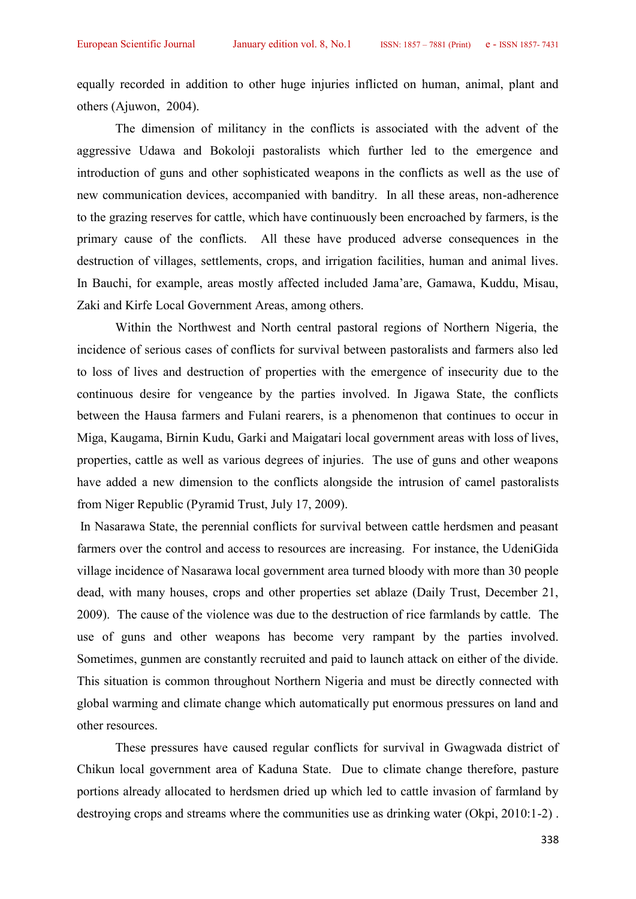equally recorded in addition to other huge injuries inflicted on human, animal, plant and others (Ajuwon, 2004).

The dimension of militancy in the conflicts is associated with the advent of the aggressive Udawa and Bokoloji pastoralists which further led to the emergence and introduction of guns and other sophisticated weapons in the conflicts as well as the use of new communication devices, accompanied with banditry. In all these areas, non-adherence to the grazing reserves for cattle, which have continuously been encroached by farmers, is the primary cause of the conflicts. All these have produced adverse consequences in the destruction of villages, settlements, crops, and irrigation facilities, human and animal lives. In Bauchi, for example, areas mostly affected included Jama'are, Gamawa, Kuddu, Misau, Zaki and Kirfe Local Government Areas, among others.

Within the Northwest and North central pastoral regions of Northern Nigeria, the incidence of serious cases of conflicts for survival between pastoralists and farmers also led to loss of lives and destruction of properties with the emergence of insecurity due to the continuous desire for vengeance by the parties involved. In Jigawa State, the conflicts between the Hausa farmers and Fulani rearers, is a phenomenon that continues to occur in Miga, Kaugama, Birnin Kudu, Garki and Maigatari local government areas with loss of lives, properties, cattle as well as various degrees of injuries. The use of guns and other weapons have added a new dimension to the conflicts alongside the intrusion of camel pastoralists from Niger Republic (Pyramid Trust, July 17, 2009).

In Nasarawa State, the perennial conflicts for survival between cattle herdsmen and peasant farmers over the control and access to resources are increasing. For instance, the UdeniGida village incidence of Nasarawa local government area turned bloody with more than 30 people dead, with many houses, crops and other properties set ablaze (Daily Trust, December 21, 2009). The cause of the violence was due to the destruction of rice farmlands by cattle. The use of guns and other weapons has become very rampant by the parties involved. Sometimes, gunmen are constantly recruited and paid to launch attack on either of the divide. This situation is common throughout Northern Nigeria and must be directly connected with global warming and climate change which automatically put enormous pressures on land and other resources.

These pressures have caused regular conflicts for survival in Gwagwada district of Chikun local government area of Kaduna State. Due to climate change therefore, pasture portions already allocated to herdsmen dried up which led to cattle invasion of farmland by destroying crops and streams where the communities use as drinking water (Okpi, 2010:1-2) .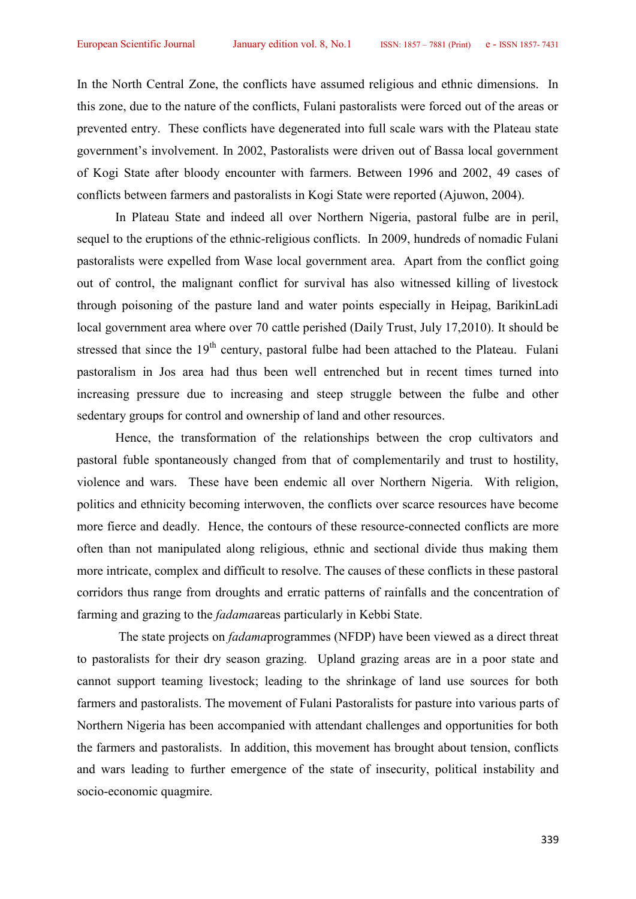In the North Central Zone, the conflicts have assumed religious and ethnic dimensions. In this zone, due to the nature of the conflicts, Fulani pastoralists were forced out of the areas or prevented entry. These conflicts have degenerated into full scale wars with the Plateau state government's involvement. In 2002, Pastoralists were driven outof Bassa local government of Kogi State after bloody encounter with farmers. Between 1996 and 2002, 49 cases of conflicts between farmers and pastoralists in Kogi State were reported (Ajuwon, 2004).

In Plateau State and indeed all over Northern Nigeria, pastoral fulbe are in peril, sequel to the eruptions of the ethnic-religious conflicts. In 2009, hundreds of nomadic Fulani pastoralists were expelled from Wase local government area. Apart from the conflict going out of control, the malignant conflict for survival has also witnessed killing of livestock through poisoning of the pasture land and water points especially in Heipag, BarikinLadi local government area where over 70 cattle perished (Daily Trust, July 17,2010). It should be stressed that since the 19<sup>th</sup> century, pastoral fulbe had been attached to the Plateau. Fulani pastoralism in Jos area had thus been well entrenched but in recent times turned into increasing pressure due to increasing and steep struggle between the fulbe and other sedentary groups for control and ownership of land and other resources.

Hence, the transformation of the relationships between the crop cultivators and pastoral fuble spontaneously changed from that of complementarily and trust to hostility, violence and wars. These have been endemic all over Northern Nigeria. With religion, politics and ethnicity becoming interwoven, the conflicts over scarce resources have become more fierce and deadly. Hence, the contours of these resource-connected conflicts are more often than not manipulated along religious, ethnic and sectional divide thus making them more intricate, complex and difficult to resolve. The causes of these conflicts in these pastoral corridors thus range from droughts and erratic patterns of rainfalls and the concentration of farming and grazing to the *fadama*areas particularly in Kebbi State.

The state projects on *fadama*programmes (NFDP) have been viewed as a direct threat to pastoralists for their dry season grazing. Upland grazing areas are in a poor state and cannot support teaming livestock; leading to the shrinkage of land use sources for both farmers and pastoralists. The movement of Fulani Pastoralists for pasture into various parts of Northern Nigeria has been accompanied with attendant challenges and opportunities for both the farmers and pastoralists. In addition, this movement has brought about tension, conflicts and wars leading to further emergence of the state of insecurity, political instability and socio-economic quagmire.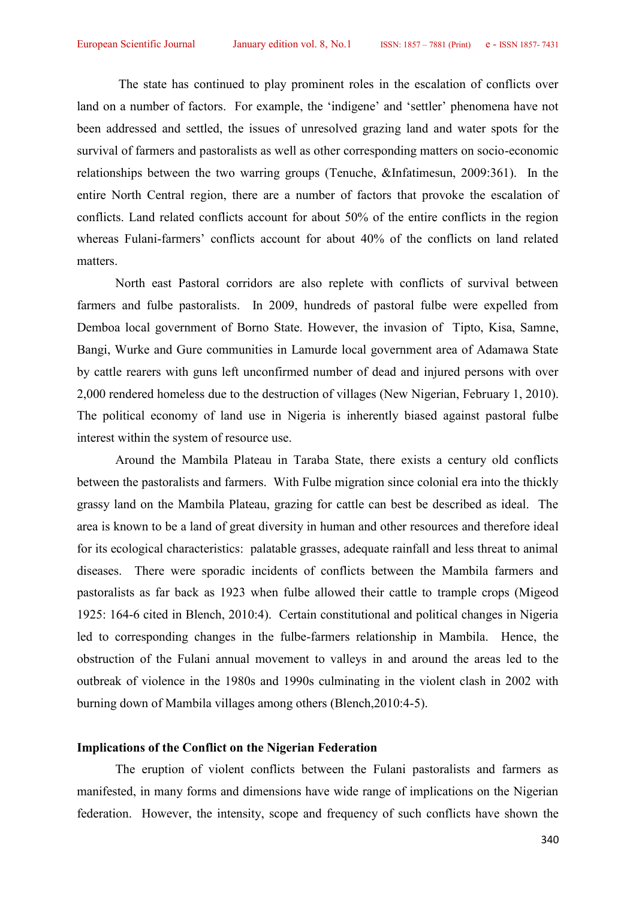The state has continued to play prominent roles in the escalation of conflicts over land on a number of factors. For example, the 'indigene' and 'settler' phenomena have not been addressed and settled, the issues of unresolved grazing land and water spots for the survival of farmers and pastoralists as well as other corresponding matters on socio-economic relationships between the two warring groups (Tenuche, &Infatimesun, 2009:361). In the entire North Central region, there are a number of factors that provoke the escalation of conflicts. Land related conflicts account for about 50% of the entire conflicts in the region whereas Fulani-farmers' conflicts account for about 40% of the conflicts on land related matters.<br>North east Pastoral corridors are also replete with conflicts of survival between

farmers and fulbe pastoralists. In 2009, hundreds of pastoral fulbe were expelled from Demboa local government of Borno State. However, the invasion of Tipto, Kisa, Samne, Bangi, Wurke and Gure communities in Lamurde local government area of Adamawa State by cattle rearers with guns left unconfirmed number of dead and injured persons with over 2,000 rendered homeless due to the destruction of villages (New Nigerian, February 1, 2010). The political economy of land use in Nigeria is inherently biased against pastoral fulbe interest within the system of resource use.

Around the Mambila Plateau in Taraba State, there exists a century old conflicts between the pastoralists and farmers. With Fulbe migration since colonial era into the thickly grassy land on the Mambila Plateau, grazing for cattle can best be described as ideal. The area is known to be a land of great diversity in human and other resources and therefore ideal for its ecological characteristics: palatable grasses, adequate rainfall and less threat to animal diseases. There were sporadic incidents of conflicts between the Mambila farmers and pastoralists as far back as 1923 when fulbe allowed their cattle to trample crops (Migeod 1925: 164-6 cited in Blench, 2010:4). Certain constitutional and political changes in Nigeria led to corresponding changes in the fulbe-farmers relationship in Mambila. Hence, the obstruction of the Fulani annual movement to valleys in and around the areas led to the outbreak of violence in the 1980s and 1990s culminating in the violent clash in 2002 with burning down of Mambila villages among others (Blench,2010:4-5).

## **Implications of the Conflict on the Nigerian Federation**

The eruption of violent conflicts between the Fulani pastoralists and farmers as manifested, in many forms and dimensions have wide range of implications on the Nigerian federation. However, the intensity, scope and frequency of such conflicts have shown the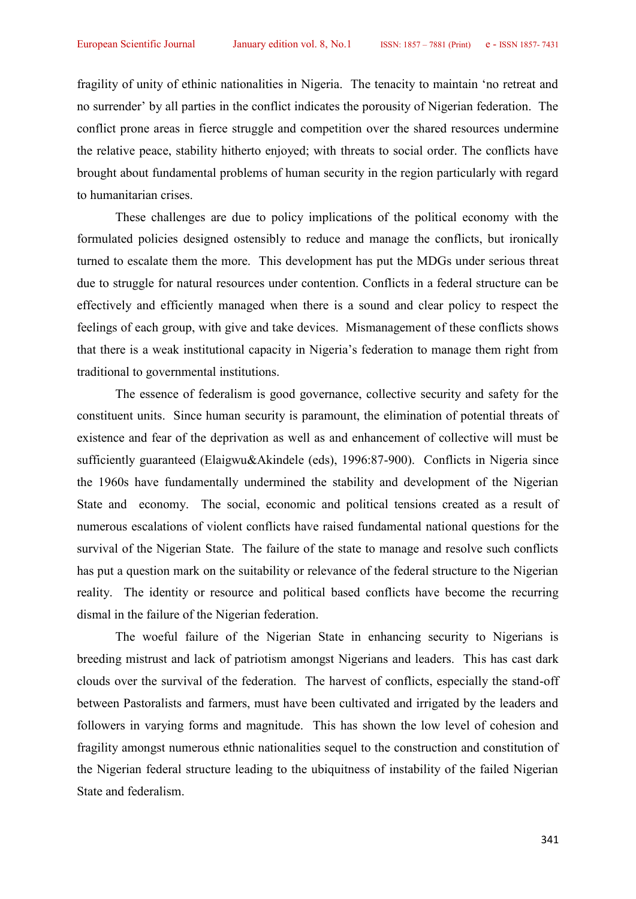fragility of unity of ethinic nationalities in Nigeria. The tenacity to maintain 'no retreat and no surrender' by all parties in the conflict indicates the porousity of Nigerian federation. The conflict prone areas in fierce struggle and competition over the shared resources undermine the relative peace, stability hitherto enjoyed; with threats to social order. The conflicts have brought about fundamental problems of human security in the region particularly with regard to humanitarian crises.

These challenges are due to policy implications of the political economy with the formulated policies designed ostensibly to reduce and manage the conflicts, but ironically turned to escalate them the more. This development has put the MDGs under serious threat due to struggle for natural resources under contention. Conflicts in a federal structure can be effectively and efficiently managed when there is a sound and clear policy to respect the feelings of each group, with give and take devices. Mismanagement of these conflicts shows that there is a weak institutional capacity in Nigeria's federation to manage them right from traditional to governmental institutions.

The essence of federalism is good governance, collective security and safety for the constituent units. Since human security is paramount, the elimination of potential threats of existence and fear of the deprivation as well as and enhancement of collective will must be sufficiently guaranteed (Elaigwu&Akindele (eds), 1996:87-900). Conflicts in Nigeria since the 1960s have fundamentally undermined the stability and development of the Nigerian State and economy. The social, economic and political tensions created as a result of numerous escalations of violent conflicts have raised fundamental national questions for the survival of the Nigerian State. The failure of the state to manage and resolve such conflicts has put a question mark on the suitability or relevance of the federal structure to the Nigerian reality. The identity or resource and political based conflicts have become the recurring dismal in the failure of the Nigerian federation.

The woeful failure of the Nigerian State in enhancing security to Nigerians is breeding mistrust and lack of patriotism amongst Nigerians and leaders. This has cast dark clouds over the survival of the federation. The harvest of conflicts, especially the stand-off between Pastoralists and farmers, must have been cultivated and irrigated by the leaders and followers in varying forms and magnitude. This has shown the low level of cohesion and fragility amongst numerous ethnic nationalities sequel to the construction and constitution of the Nigerian federal structure leading to the ubiquitness of instability of the failed Nigerian State and federalism.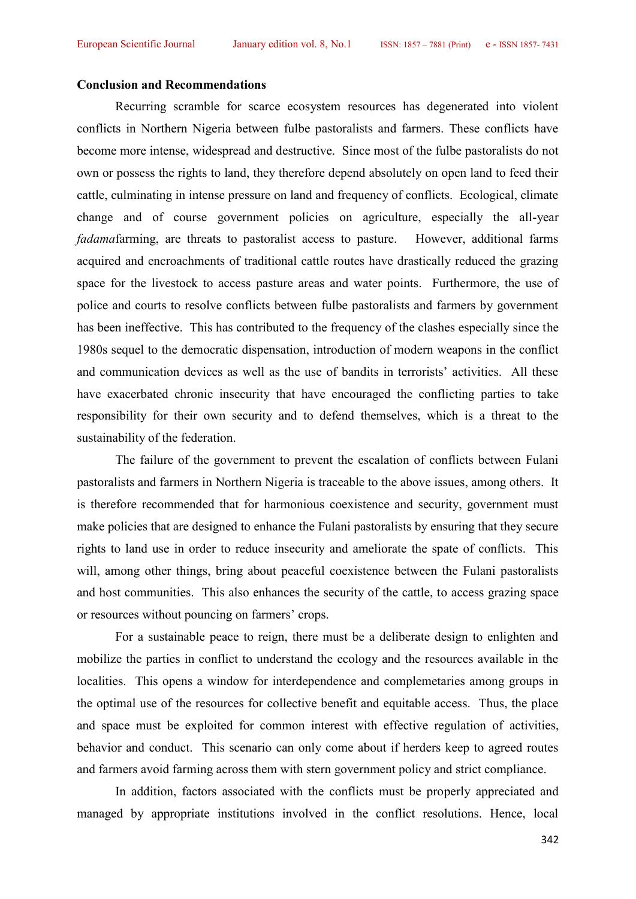#### **Conclusion and Recommendations**

Recurring scramble for scarce ecosystem resources has degenerated into violent conflicts in Northern Nigeria between fulbe pastoralists and farmers. These conflicts have become more intense, widespread and destructive. Since most of the fulbe pastoralists do not own or possess the rights to land, they therefore depend absolutely on open land to feed their cattle, culminating in intense pressure on land and frequency of conflicts. Ecological, climate change and of course government policies on agriculture, especially the all-year *fadama*farming, are threats to pastoralist access to pasture. However, additional farms acquired and encroachments of traditional cattle routes have drastically reduced the grazing space for the livestock to access pasture areas and water points. Furthermore, the use of police and courts to resolve conflicts between fulbe pastoralists and farmers by government has been ineffective. This has contributed to the frequency of the clashes especially since the 1980s sequel to the democratic dispensation, introduction of modern weapons in the conflict and communication devices as well as the use of bandits in terrorists' activities. All these have exacerbated chronic insecurity that have encouraged the conflicting parties to take responsibility for their own security and to defend themselves, which is a threat to the sustainability of the federation.

The failure of the government to prevent the escalation of conflicts between Fulani pastoralists and farmers in Northern Nigeria is traceable to the above issues, among others. It is therefore recommended that for harmonious coexistence and security, government must make policies that are designed to enhance the Fulani pastoralists by ensuring that they secure rights to land use in order to reduce insecurity and ameliorate the spate of conflicts. This will, among other things, bring about peaceful coexistence between the Fulani pastoralists and host communities. This also enhances the security of the cattle, to access grazing space or resources without pouncing on farmers' crops.

For a sustainable peace to reign, there must be a deliberate design to enlighten and mobilize the parties in conflict to understand the ecology and the resources available in the localities. This opens a window for interdependence and complemetaries among groups in the optimal use of the resources for collective benefit and equitable access. Thus, the place and space must be exploited for common interest with effective regulation of activities, behavior and conduct. This scenario can only come about if herders keep to agreed routes and farmers avoid farming across them with stern government policy and strict compliance.

In addition, factors associated with the conflicts must be properly appreciated and managed by appropriate institutions involved in the conflict resolutions. Hence, local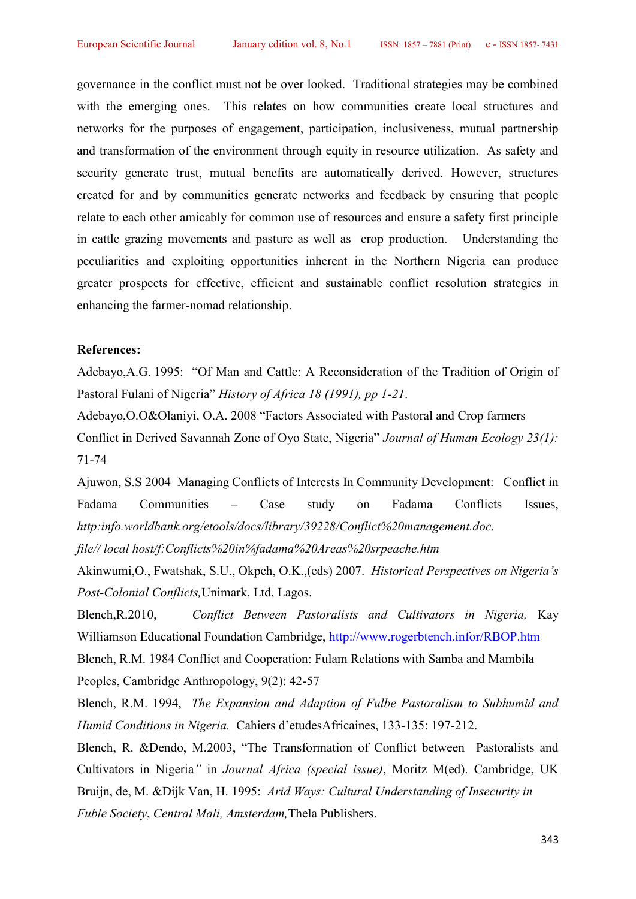governance in the conflict must not be over looked. Traditional strategies may be combined with the emerging ones. This relates on how communities create local structures and networks for the purposes of engagement, participation, inclusiveness, mutual partnership and transformation of the environment through equity in resource utilization. As safety and security generate trust, mutual benefits are automatically derived. However, structures created for and by communities generate networks and feedback by ensuring that people relate to each other amicably for common use of resources and ensure a safety first principle in cattle grazing movements and pasture as well as crop production. Understanding the peculiarities and exploiting opportunities inherent in the Northern Nigeria can produce greater prospects for effective, efficient and sustainable conflict resolution strategies in enhancing the farmer-nomad relationship.

## **References:**

Adebayo,A.G. 1995: "Of Man and Cattle: A Reconsideration of the Tradition of Origin of Pastoral Fulani of Nigeria" *History of Africa 18 (1991), pp 1-21*.

Adebayo,O.O&Olaniyi, O.A. 2008 "Factors Associated with Pastoral and Crop farmers Conflict in Derived Savannah Zone of Oyo State, Nigeria" *Journal of Human Ecology 23(1):* 71-74

Ajuwon, S.S 2004 Managing Conflicts of Interests In Community Development: Conflict in Fadama Communities – Case study on Fadama Conflicts Issues, *http:info.worldbank.org/etools/docs/library/39228/Conflict%20management.doc. file// local host/f:Conflicts%20in%fadama%20Areas%20srpeache.htm*

Akinwumi,O., Fwatshak, S.U., Okpeh, O.K.,(eds) 2007. *Historical Perspectives on Nigeria's Post-Colonial Conflicts,*Unimark, Ltd, Lagos.

Blench,R.2010, *Conflict Between Pastoralists and Cultivators in Nigeria,* Kay Williamson Educational Foundation Cambridge, http://www.rogerbtench.infor/RBOP.htm Blench, R.M. 1984 Conflict and Cooperation: Fulam Relations with Samba and Mambila Peoples, Cambridge Anthropology, 9(2): 42-57

Blench, R.M. 1994, *The Expansion and Adaption of Fulbe Pastoralism to Subhumid and Humid Conditions in Nigeria.* Cahiers d'etudesAfricaines, 133-135: 197-212.

Blench, R. &Dendo, M.2003, "The Transformation of Conflict between Pastoralists and Cultivators in Nigeria*"* in *Journal Africa (special issue)*, Moritz M(ed). Cambridge, UK Bruijn, de, M. &Dijk Van, H. 1995: *Arid Ways: Cultural Understanding of Insecurity in Fuble Society*, *Central Mali, Amsterdam,*Thela Publishers.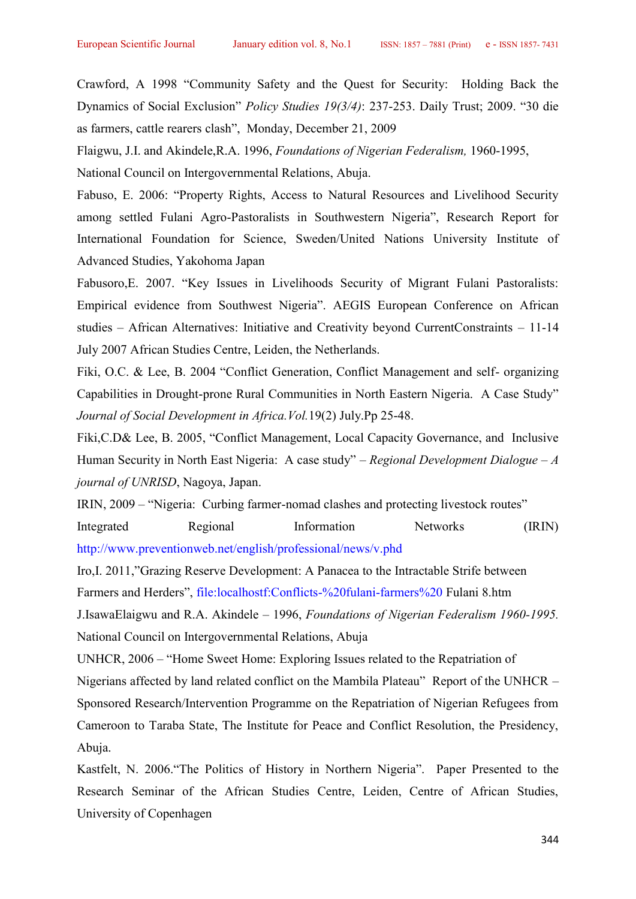Crawford, A 1998 "Community Safety and the Quest for Security: Holding Back the Dynamics of Social Exclusion" *Policy Studies 19(3/4)*: 237-253. Daily Trust; 2009. "30 die as farmers, cattle rearers clash", Monday, December 21, 2009

Flaigwu, J.I. and Akindele,R.A. 1996, *Foundations of Nigerian Federalism,* 1960-1995,

National Council on Intergovernmental Relations, Abuja.

Fabuso, E. 2006: "Property Rights, Access to Natural Resources and Livelihood Security among settled Fulani Agro-Pastoralists in Southwestern Nigeria", Research Report for International Foundation for Science, Sweden/United Nations University Institute of Advanced Studies, Yakohoma Japan

Fabusoro,E. 2007. "Key Issues in Livelihoods Security of Migrant Fulani Pastoralists: Empirical evidence from Southwest Nigeria". AEGIS European Conference on African studies – African Alternatives: Initiative and Creativity beyond CurrentConstraints – 11-14 July 2007 African Studies Centre, Leiden, the Netherlands.

Fiki, O.C. & Lee, B. 2004 "Conflict Generation, Conflict Management and self- organizing Capabilities in Drought-prone Rural Communities in North Eastern Nigeria. A Case Study" *Journal of Social Development in Africa.Vol.*19(2) July.Pp 25-48.

Fiki,C.D& Lee, B. 2005, "Conflict Management, Local Capacity Governance, and Inclusive Human Security in North East Nigeria: A case study" – *Regional Development Dialogue – A journal of UNRISD*, Nagoya, Japan.

IRIN, 2009 – "Nigeria: Curbing farmer-nomad clashes and protecting livestock routes"

Integrated Regional Information Networks (IRIN) http://www.preventionweb.net/english/professional/news/v.phd

Iro,I. 2011,"Grazing Reserve Development: A Panacea to the Intractable Strife between Farmers and Herders", file:localhostf:Conflicts-%20fulani-farmers%20 Fulani 8.htm

J.IsawaElaigwu and R.A. Akindele – 1996, *Foundations of Nigerian Federalism 1960-1995.* National Council on Intergovernmental Relations, Abuja

UNHCR, 2006 – "Home Sweet Home: Exploring Issues related to the Repatriation of

Nigerians affected by land related conflict on the Mambila Plateau" Report of the UNHCR – Sponsored Research/Intervention Programme on the Repatriation of Nigerian Refugees from Cameroon to Taraba State, The Institute for Peace and Conflict Resolution, the Presidency, Abuja.

Kastfelt, N. 2006."The Politics of History in Northern Nigeria". Paper Presented to the Research Seminar of the African Studies Centre, Leiden, Centre of African Studies, University of Copenhagen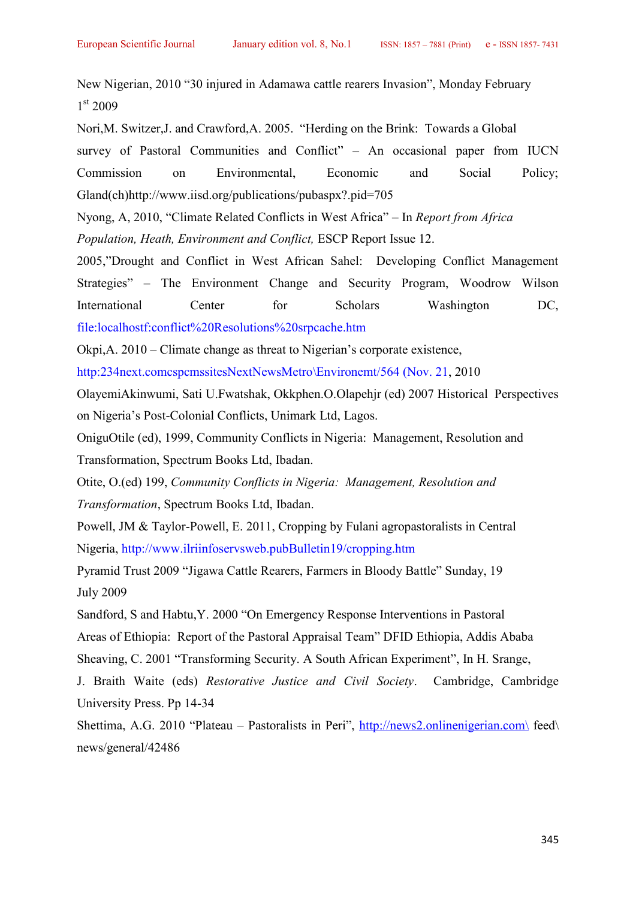New Nigerian, 2010 "30 injured in Adamawa cattle rearers Invasion", Monday February 1 st 2009

Nori,M. Switzer,J. and Crawford,A. 2005. "Herding on the Brink: Towards a Global survey of Pastoral Communities and Conflict" – An occasional paper from IUCN Commission on Environmental, Economic and Social Policy; Gland(ch)http://www.iisd.org/publications/pubaspx?.pid=705

Nyong, A, 2010, "Climate Related Conflicts in West Africa" – In *Report from Africa Population, Heath, Environment and Conflict,* ESCP Report Issue 12.

2005,"Drought and Conflict in West African Sahel: Developing Conflict Management Strategies" – The Environment Change and Security Program, Woodrow Wilson International Center for Scholars Washington DC, file:localhostf:conflict%20Resolutions%20srpcache.htm

Okpi,A. 2010 – Climate change as threat to Nigerian's corporate existence,

http:234next.comcspcmssitesNextNewsMetro\Environemt/564 (Nov. 21, 2010

OlayemiAkinwumi, Sati U.Fwatshak, Okkphen.O.Olapehjr (ed) 2007 Historical Perspectives on Nigeria's Post-Colonial Conflicts, Unimark Ltd, Lagos.

OniguOtile (ed), 1999, Community Conflicts in Nigeria: Management, Resolution and Transformation, Spectrum Books Ltd, Ibadan.

Otite, O.(ed) 199, *Community Conflicts in Nigeria: Management, Resolution and Transformation*, Spectrum Books Ltd, Ibadan.

Powell, JM & Taylor-Powell, E. 2011, Cropping by Fulani agropastoralists in Central Nigeria, http://www.ilriinfoservsweb.pubBulletin19/cropping.htm

Pyramid Trust 2009 "Jigawa Cattle Rearers, Farmers in Bloody Battle" Sunday, 19 July 2009

Sandford, S and Habtu,Y. 2000 "On Emergency Response Interventions in Pastoral Areas of Ethiopia: Report of the Pastoral Appraisal Team" DFID Ethiopia, Addis Ababa Sheaving, C. 2001 "Transforming Security. A South African Experiment", In H. Srange,

J. Braith Waite (eds) *Restorative Justice and Civil Society*. Cambridge, Cambridge University Press. Pp 14-34

Shettima, A.G. 2010 "Plateau – Pastoralists in Peri", http://news2.onlinenigerian.com\ feed\ news/general/42486